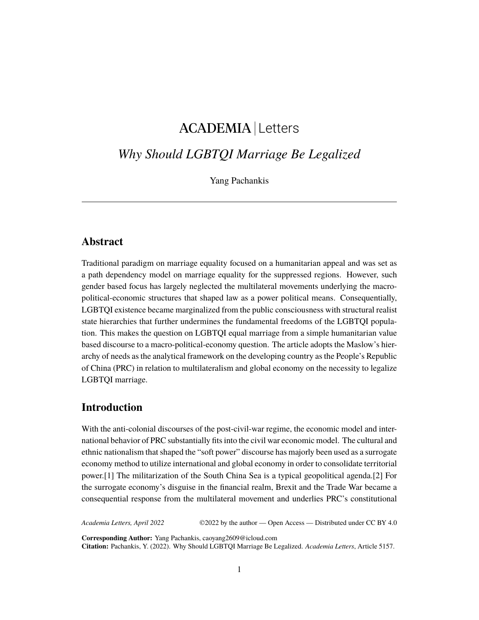# ACADEMIA Letters

# *Why Should LGBTQI Marriage Be Legalized*

Yang Pachankis

# **Abstract**

Traditional paradigm on marriage equality focused on a humanitarian appeal and was set as a path dependency model on marriage equality for the suppressed regions. However, such gender based focus has largely neglected the multilateral movements underlying the macropolitical-economic structures that shaped law as a power political means. Consequentially, LGBTQI existence became marginalized from the public consciousness with structural realist state hierarchies that further undermines the fundamental freedoms of the LGBTQI population. This makes the question on LGBTQI equal marriage from a simple humanitarian value based discourse to a macro-political-economy question. The article adopts the Maslow's hierarchy of needs as the analytical framework on the developing country as the People's Republic of China (PRC) in relation to multilateralism and global economy on the necessity to legalize LGBTQI marriage.

#### **Introduction**

With the anti-colonial discourses of the post-civil-war regime, the economic model and international behavior of PRC substantially fits into the civil war economic model. The cultural and ethnic nationalism that shaped the "soft power" discourse has majorly been used as a surrogate economy method to utilize international and global economy in order to consolidate territorial power.[1] The militarization of the South China Sea is a typical geopolitical agenda.[2] For the surrogate economy's disguise in the financial realm, Brexit and the Trade War became a consequential response from the multilateral movement and underlies PRC's constitutional

*Academia Letters, April 2022* ©2022 by the author — Open Access — Distributed under CC BY 4.0

**Corresponding Author:** Yang Pachankis, caoyang2609@icloud.com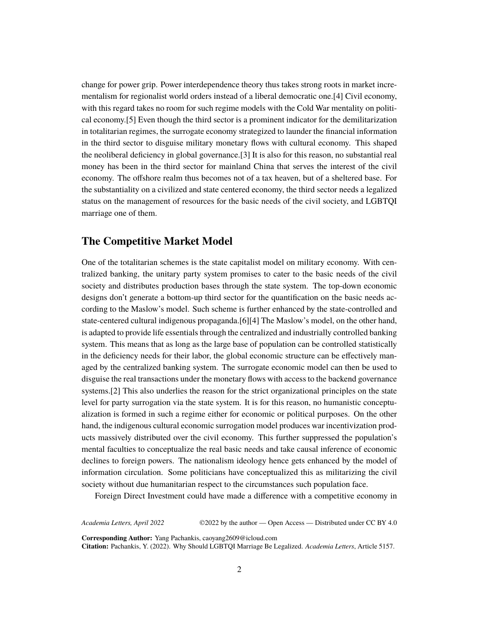change for power grip. Power interdependence theory thus takes strong roots in market incrementalism for regionalist world orders instead of a liberal democratic one.[4] Civil economy, with this regard takes no room for such regime models with the Cold War mentality on political economy.[5] Even though the third sector is a prominent indicator for the demilitarization in totalitarian regimes, the surrogate economy strategized to launder the financial information in the third sector to disguise military monetary flows with cultural economy. This shaped the neoliberal deficiency in global governance.[3] It is also for this reason, no substantial real money has been in the third sector for mainland China that serves the interest of the civil economy. The offshore realm thus becomes not of a tax heaven, but of a sheltered base. For the substantiality on a civilized and state centered economy, the third sector needs a legalized status on the management of resources for the basic needs of the civil society, and LGBTQI marriage one of them.

#### **The Competitive Market Model**

One of the totalitarian schemes is the state capitalist model on military economy. With centralized banking, the unitary party system promises to cater to the basic needs of the civil society and distributes production bases through the state system. The top-down economic designs don't generate a bottom-up third sector for the quantification on the basic needs according to the Maslow's model. Such scheme is further enhanced by the state-controlled and state-centered cultural indigenous propaganda.[6][4] The Maslow's model, on the other hand, is adapted to provide life essentials through the centralized and industrially controlled banking system. This means that as long as the large base of population can be controlled statistically in the deficiency needs for their labor, the global economic structure can be effectively managed by the centralized banking system. The surrogate economic model can then be used to disguise the real transactions under the monetary flows with access to the backend governance systems.[2] This also underlies the reason for the strict organizational principles on the state level for party surrogation via the state system. It is for this reason, no humanistic conceptualization is formed in such a regime either for economic or political purposes. On the other hand, the indigenous cultural economic surrogation model produces war incentivization products massively distributed over the civil economy. This further suppressed the population's mental faculties to conceptualize the real basic needs and take causal inference of economic declines to foreign powers. The nationalism ideology hence gets enhanced by the model of information circulation. Some politicians have conceptualized this as militarizing the civil society without due humanitarian respect to the circumstances such population face.

Foreign Direct Investment could have made a difference with a competitive economy in

*Academia Letters, April 2022* ©2022 by the author — Open Access — Distributed under CC BY 4.0

**Corresponding Author:** Yang Pachankis, caoyang2609@icloud.com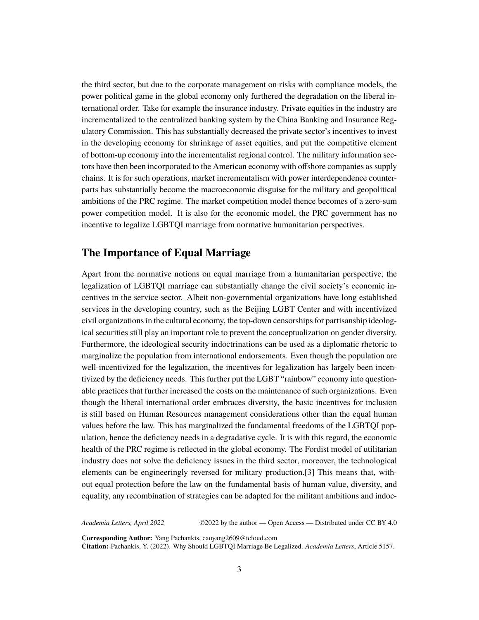the third sector, but due to the corporate management on risks with compliance models, the power political game in the global economy only furthered the degradation on the liberal international order. Take for example the insurance industry. Private equities in the industry are incrementalized to the centralized banking system by the China Banking and Insurance Regulatory Commission. This has substantially decreased the private sector's incentives to invest in the developing economy for shrinkage of asset equities, and put the competitive element of bottom-up economy into the incrementalist regional control. The military information sectors have then been incorporated to the American economy with offshore companies as supply chains. It is for such operations, market incrementalism with power interdependence counterparts has substantially become the macroeconomic disguise for the military and geopolitical ambitions of the PRC regime. The market competition model thence becomes of a zero-sum power competition model. It is also for the economic model, the PRC government has no incentive to legalize LGBTQI marriage from normative humanitarian perspectives.

### **The Importance of Equal Marriage**

Apart from the normative notions on equal marriage from a humanitarian perspective, the legalization of LGBTQI marriage can substantially change the civil society's economic incentives in the service sector. Albeit non-governmental organizations have long established services in the developing country, such as the Beijing LGBT Center and with incentivized civil organizations in the cultural economy, the top-down censorships for partisanship ideological securities still play an important role to prevent the conceptualization on gender diversity. Furthermore, the ideological security indoctrinations can be used as a diplomatic rhetoric to marginalize the population from international endorsements. Even though the population are well-incentivized for the legalization, the incentives for legalization has largely been incentivized by the deficiency needs. This further put the LGBT "rainbow" economy into questionable practices that further increased the costs on the maintenance of such organizations. Even though the liberal international order embraces diversity, the basic incentives for inclusion is still based on Human Resources management considerations other than the equal human values before the law. This has marginalized the fundamental freedoms of the LGBTQI population, hence the deficiency needs in a degradative cycle. It is with this regard, the economic health of the PRC regime is reflected in the global economy. The Fordist model of utilitarian industry does not solve the deficiency issues in the third sector, moreover, the technological elements can be engineeringly reversed for military production.[3] This means that, without equal protection before the law on the fundamental basis of human value, diversity, and equality, any recombination of strategies can be adapted for the militant ambitions and indoc-

*Academia Letters, April 2022* ©2022 by the author — Open Access — Distributed under CC BY 4.0

**Corresponding Author:** Yang Pachankis, caoyang2609@icloud.com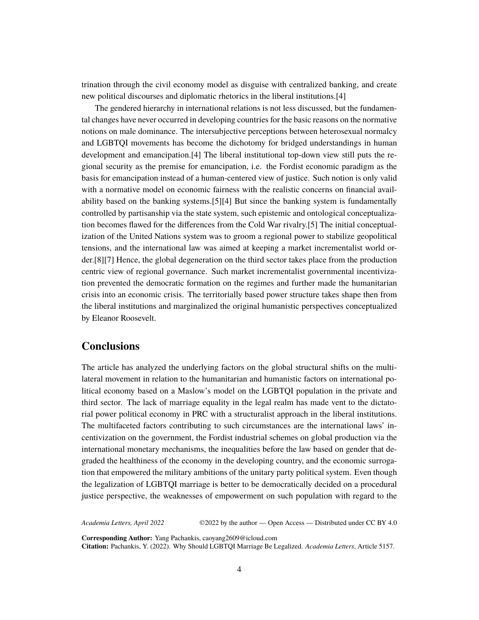trination through the civil economy model as disguise with centralized banking, and create new political discourses and diplomatic rhetorics in the liberal institutions.[4]

The gendered hierarchy in international relations is not less discussed, but the fundamental changes have never occurred in developing countries for the basic reasons on the normative notions on male dominance. The intersubjective perceptions between heterosexual normalcy and LGBTQI movements has become the dichotomy for bridged understandings in human development and emancipation.[4] The liberal institutional top-down view still puts the regional security as the premise for emancipation, i.e. the Fordist economic paradigm as the basis for emancipation instead of a human-centered view of justice. Such notion is only valid with a normative model on economic fairness with the realistic concerns on financial availability based on the banking systems.[5][4] But since the banking system is fundamentally controlled by partisanship via the state system, such epistemic and ontological conceptualization becomes flawed for the differences from the Cold War rivalry.[5] The initial conceptualization of the United Nations system was to groom a regional power to stabilize geopolitical tensions, and the international law was aimed at keeping a market incrementalist world order.[8][7] Hence, the global degeneration on the third sector takes place from the production centric view of regional governance. Such market incrementalist governmental incentivization prevented the democratic formation on the regimes and further made the humanitarian crisis into an economic crisis. The territorially based power structure takes shape then from the liberal institutions and marginalized the original humanistic perspectives conceptualized by Eleanor Roosevelt.

#### **Conclusions**

The article has analyzed the underlying factors on the global structural shifts on the multilateral movement in relation to the humanitarian and humanistic factors on international political economy based on a Maslow's model on the LGBTQI population in the private and third sector. The lack of marriage equality in the legal realm has made vent to the dictatorial power political economy in PRC with a structuralist approach in the liberal institutions. The multifaceted factors contributing to such circumstances are the international laws' incentivization on the government, the Fordist industrial schemes on global production via the international monetary mechanisms, the inequalities before the law based on gender that degraded the healthiness of the economy in the developing country, and the economic surrogation that empowered the military ambitions of the unitary party political system. Even though the legalization of LGBTQI marriage is better to be democratically decided on a procedural justice perspective, the weaknesses of empowerment on such population with regard to the

*Academia Letters, April 2022* ©2022 by the author — Open Access — Distributed under CC BY 4.0

**Corresponding Author:** Yang Pachankis, caoyang2609@icloud.com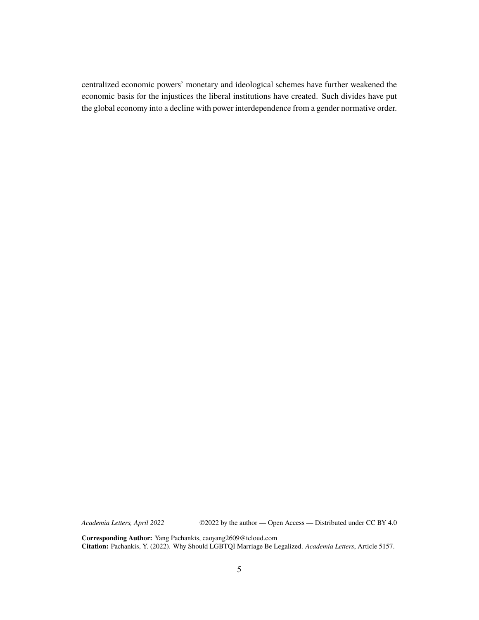centralized economic powers' monetary and ideological schemes have further weakened the economic basis for the injustices the liberal institutions have created. Such divides have put the global economy into a decline with power interdependence from a gender normative order.

*Academia Letters, April 2022* ©2022 by the author — Open Access — Distributed under CC BY 4.0

**Corresponding Author:** Yang Pachankis, caoyang2609@icloud.com **Citation:** Pachankis, Y. (2022). Why Should LGBTQI Marriage Be Legalized. *Academia Letters*, Article 5157.